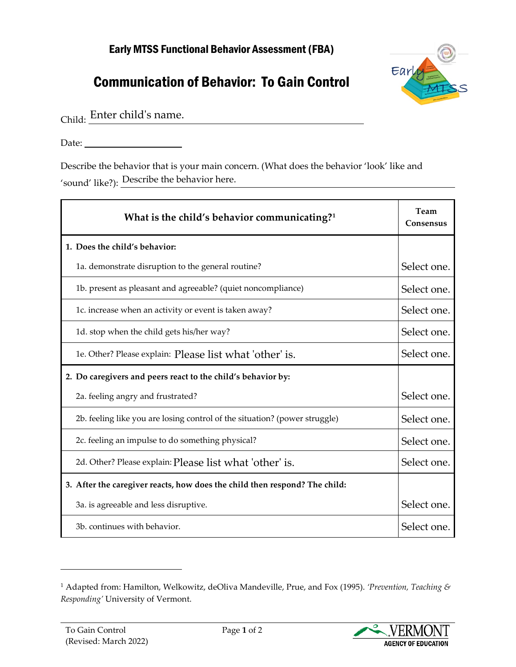## Early MTSS Functional Behavior Assessment (FBA)

## Communication of Behavior: To Gain Control



Child: Enter child's name.

Date:

Describe the behavior that is your main concern. (What does the behavior 'look' like and 'sound' like?): Describe the behavior here.

| What is the child's behavior communicating? <sup>1</sup>                   | Team<br>Consensus |
|----------------------------------------------------------------------------|-------------------|
| 1. Does the child's behavior:                                              |                   |
| 1a. demonstrate disruption to the general routine?                         | Select one.       |
| 1b. present as pleasant and agreeable? (quiet noncompliance)               | Select one.       |
| 1c. increase when an activity or event is taken away?                      | Select one.       |
| 1d. stop when the child gets his/her way?                                  | Select one.       |
| 1e. Other? Please explain: Please list what 'other' is.                    | Select one.       |
| 2. Do caregivers and peers react to the child's behavior by:               |                   |
| 2a. feeling angry and frustrated?                                          | Select one.       |
| 2b. feeling like you are losing control of the situation? (power struggle) | Select one.       |
| 2c. feeling an impulse to do something physical?                           | Select one.       |
| 2d. Other? Please explain: Please list what 'other' is.                    | Select one.       |
| 3. After the caregiver reacts, how does the child then respond? The child: |                   |
| 3a. is agreeable and less disruptive.                                      | Select one.       |
| 3b. continues with behavior.                                               | Select one.       |



<span id="page-0-0"></span><sup>1</sup> Adapted from: Hamilton, Welkowitz, deOliva Mandeville, Prue, and Fox (1995). *'Prevention, Teaching & Responding'* University of Vermont.